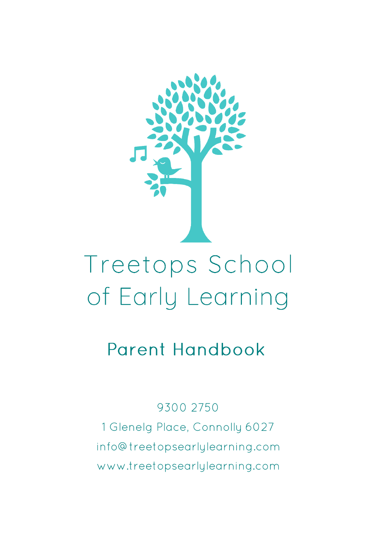

# Treetops School of Early Learning

# **Parent Handbook**

9300 2750

1 Glenelg Place, Connolly 6027 info@treetopsearlylearning.com www.treetopsearlylearning.com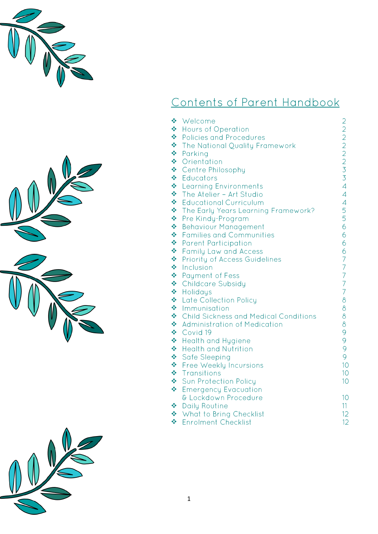





### Contents of Parent Handbook

| ÷ | Welcome                                      |                          |
|---|----------------------------------------------|--------------------------|
| ❖ | Hours of Operation                           | 2222233                  |
| ÷ | <b>Policies and Procedures</b>               |                          |
| ❖ | The National Quality Framework               |                          |
| ❖ | Parking                                      |                          |
| ❖ | Orientation                                  |                          |
| ❖ | Centre Philosophy                            |                          |
| ❖ | Educators                                    |                          |
| ÷ | <b>Learning Environments</b>                 | $\overline{4}$           |
| ❖ | The Atelier - Art Studio                     | $\overline{\mathcal{A}}$ |
| ❖ | <b>Educational Curriculum</b>                | $\overline{\mathcal{A}}$ |
| ❖ | The Early Years Learning Framework?          |                          |
| ❖ | Pre Kindy-Program                            | $\frac{5}{5}$            |
| ❖ | <b>Behaviour Management</b>                  | 6                        |
| ÷ | <b>Families and Communities</b>              | 6                        |
| ❖ | <b>Parent Participation</b>                  | 6                        |
| ❖ | <b>Family Law and Access</b>                 | 6                        |
| ÷ | <b>Priority of Access Guidelines</b>         | $\overline{7}$           |
| ÷ | Inclusion                                    | $\overline{7}$           |
| ÷ | <b>Payment of Fess</b>                       | $\overline{7}$           |
| ÷ | <b>Childcare Subsidy</b>                     | $\overline{7}$           |
| ÷ | Holidays                                     | $\overline{7}$           |
| ❖ | <b>Late Collection Policy</b>                | $\delta$                 |
| ❖ | Immunisation                                 | $\delta$                 |
| ❖ | <b>Child Sickness and Medical Conditions</b> | $\delta$                 |
| ❖ | <b>Administration of Medication</b>          | $\delta$                 |
| ❖ | Covid 19                                     | 9                        |
| ÷ | <b>Health and Hygiene</b>                    | 9                        |
| ❖ | <b>Health and Nutrition</b>                  | 9                        |
| ❖ | <b>Safe Sleeping</b>                         | 9                        |
| ÷ | Free Weekly Incursions                       | 10 <sup>°</sup>          |
| ÷ | Transitions                                  | 10                       |
| ÷ | Sun Protection Policy                        | 10                       |
| ÷ | <b>Emergency Evacuation</b>                  |                          |
|   | & Lockdown Procedure                         | 10                       |
| ❖ | <b>Daily Routine</b>                         | 11                       |
| ÷ | What to Bring Checklist                      | 12 <sup>°</sup>          |
| ÷ | <b>Enrolment Checklist</b>                   | 12                       |

❖ Enrolment Checklist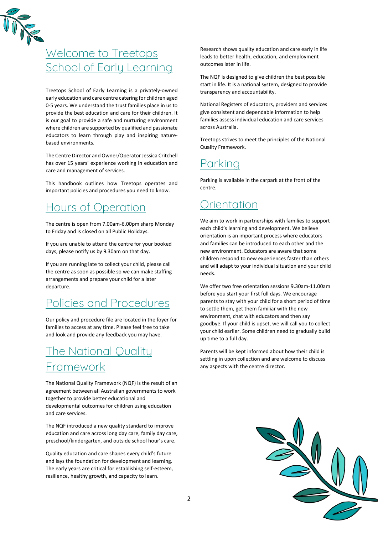

### Welcome to Treetops School of Early Learning

Treetops School of Early Learning is a privately-owned early education and care centre catering for children aged 0-5 years. We understand the trust families place in us to provide the best education and care for their children. It is our goal to provide a safe and nurturing environment where children are supported by qualified and passionate educators to learn through play and inspiring naturebased environments.

The Centre Director and Owner/Operator Jessica Critchell has over 15 years' experience working in education and care and management of services.

This handbook outlines how Treetops operates and important policies and procedures you need to know.

### Hours of Operation

The centre is open from 7.00am-6.00pm sharp Monday to Friday and is closed on all Public Holidays.

If you are unable to attend the centre for your booked days, please notify us by 9.30am on that day.

If you are running late to collect your child, please call the centre as soon as possible so we can make staffing arrangements and prepare your child for a later departure.

#### Policies and Procedures

Our policy and procedure file are located in the foyer for families to access at any time. Please feel free to take and look and provide any feedback you may have.

### The National Quality Framework

The National Quality Framework (NQF) is the result of an agreement between all Australian governments to work together to provide better educational and developmental outcomes for children using education and care services.

The NQF introduced a new quality standard to improve education and care across long day care, family day care, preschool/kindergarten, and outside school hour's care.

Quality education and care shapes every child's future and lays the foundation for development and learning. The early years are critical for establishing self-esteem, resilience, healthy growth, and capacity to learn.

Research shows quality education and care early in life leads to better health, education, and employment outcomes later in life.

The NQF is designed to give children the best possible start in life. It is a national system, designed to provide transparency and accountability.

[National Registers](http://acecqa.gov.au/national-registers) of educators, providers and services give consistent and dependable information to help families assess individual education and care services across Australia.

Treetops strives to meet the principles of the National Quality Framework.

#### Parking

Parking is available in the carpark at the front of the centre.

#### **Orientation**

We aim to work in partnerships with families to support each child's learning and development. We believe orientation is an important process where educators and families can be introduced to each other and the new environment. Educators are aware that some children respond to new experiences faster than others and will adapt to your individual situation and your child needs.

We offer two free orientation sessions 9.30am-11.00am before you start your first full days. We encourage parents to stay with your child for a short period of time to settle them, get them familiar with the new environment, chat with educators and then say goodbye. If your child is upset, we will call you to collect your child earlier. Some children need to gradually build up time to a full day.

Parents will be kept informed about how their child is settling in upon collection and are welcome to discuss any aspects with the centre director.

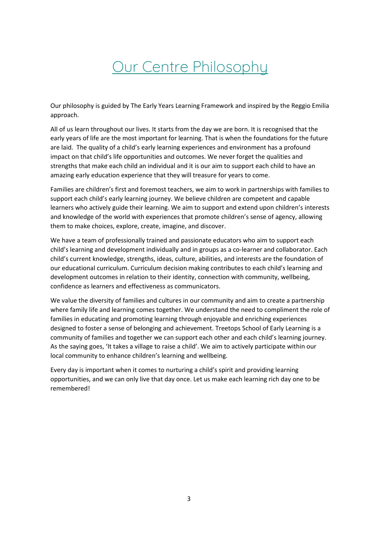## Our Centre Philosophy

Our philosophy is guided by The Early Years Learning Framework and inspired by the Reggio Emilia approach.

All of us learn throughout our lives. It starts from the day we are born. It is recognised that the early years of life are the most important for learning. That is when the foundations for the future are laid. The quality of a child's early learning experiences and environment has a profound impact on that child's life opportunities and outcomes. We never forget the qualities and strengths that make each child an individual and it is our aim to support each child to have an amazing early education experience that they will treasure for years to come.

Families are children's first and foremost teachers, we aim to work in partnerships with families to support each child's early learning journey. We believe children are competent and capable learners who actively guide their learning. We aim to support and extend upon children's interests and knowledge of the world with experiences that promote children's sense of agency, allowing them to make choices, explore, create, imagine, and discover.

We have a team of professionally trained and passionate educators who aim to support each child's learning and development individually and in groups as a co-learner and collaborator. Each child's current knowledge, strengths, ideas, culture, abilities, and interests are the foundation of our educational curriculum. Curriculum decision making contributes to each child's learning and development outcomes in relation to their identity, connection with community, wellbeing, confidence as learners and effectiveness as communicators.

We value the diversity of families and cultures in our community and aim to create a partnership where family life and learning comes together. We understand the need to compliment the role of families in educating and promoting learning through enjoyable and enriching experiences designed to foster a sense of belonging and achievement. Treetops School of Early Learning is a community of families and together we can support each other and each child's learning journey. As the saying goes, 'It takes a village to raise a child'. We aim to actively participate within our local community to enhance children's learning and wellbeing.

Every day is important when it comes to nurturing a child's spirit and providing learning opportunities, and we can only live that day once. Let us make each learning rich day one to be remembered!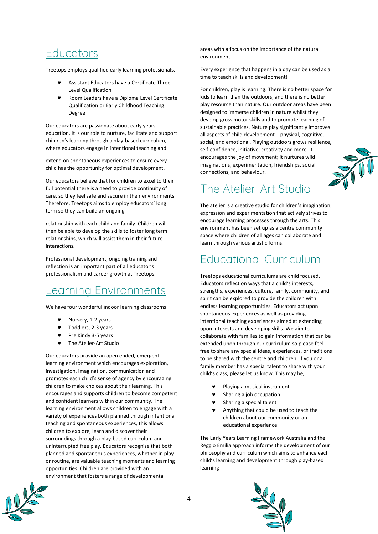#### **Educators**

Treetops employs qualified early learning professionals.

- Assistant Educators have a Certificate Three Level Qualification
- Room Leaders have a Diploma Level Certificate Qualification or Early Childhood Teaching Degree

Our educators are passionate about early years education. It is our role to nurture, facilitate and support children's learning through a play-based curriculum, where educators engage in intentional teaching and

extend on spontaneous experiences to ensure every child has the opportunity for optimal development.

Our educators believe that for children to excel to their full potential there is a need to provide continuity of care, so they feel safe and secure in their environments. Therefore, Treetops aims to employ educators' long term so they can build an ongoing

relationship with each child and family. Children will then be able to develop the skills to foster long term relationships, which will assist them in their future interactions.

Professional development, ongoing training and reflection is an important part of all educator's professionalism and career growth at Treetops.

#### Learning Environments

We have four wonderful indoor learning classrooms

- $\blacktriangleright$  Nursery, 1-2 years
- Toddlers, 2-3 years
- Pre Kindy 3-5 years
- The Atelier-Art Studio

Our educators provide an open ended, emergent learning environment which encourages exploration, investigation, imagination, communication and promotes each child's sense of agency by encouraging children to make choices about their learning. This encourages and supports children to become competent and confident learners within our community. The learning environment allows children to engage with a variety of experiences both planned through intentional teaching and spontaneous experiences, this allows children to explore, learn and discover their surroundings through a play-based curriculum and uninterrupted free play. Educators recognise that both planned and spontaneous experiences, whether in play or routine, are valuable teaching moments and learning opportunities. Children are provided with an environment that fosters a range of developmental

areas with a focus on the importance of the natural environment.

Every experience that happens in a day can be used as a time to teach skills and development!

For children, play is learning. There is no better space for kids to learn than the outdoors, and there is no better play resource than nature. Our outdoor areas have been designed to immerse children in nature whilst they develop gross motor skills and to promote learning of sustainable practices. Nature play significantly improves all aspects of child development – physical, cognitive, social, and emotional. Playing outdoors grows resilience, self-confidence, initiative, creativity and more. It encourages the joy of movement; it nurtures wild imaginations, experimentation, friendships, social connections, and behaviour.

### The Atelier-Art Studio

The atelier is a creative studio for children's imagination, expression and experimentation that actively strives to encourage learning processes through the arts. This environment has been set up as a centre community space where children of all ages can collaborate and learn through various artistic forms.

### Educational Curriculum

Treetops educational curriculums are child focused. Educators reflect on ways that a child's interests, strengths, experiences, culture, family, community, and spirit can be explored to provide the children with endless learning opportunities. Educators act upon spontaneous experiences as well as providing intentional teaching experiences aimed at extending upon interests and developing skills. We aim to collaborate with families to gain information that can be extended upon through our curriculum so please feel free to share any special ideas, experiences, or traditions to be shared with the centre and children. If you or a family member has a special talent to share with your child's class, please let us know. This may be,

- Playing a musical instrument
- Sharing a job occupation
- Sharing a special talent
- Anything that could be used to teach the children about our community or an educational experience

The Early Years Learning Framework Australia and the Reggio Emilia approach informs the development of our philosophy and curriculum which aims to enhance each child's learning and development through play-based learning



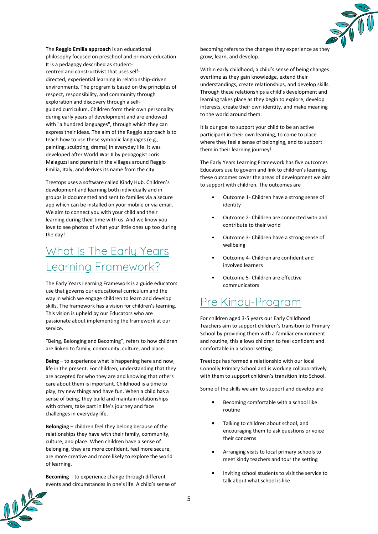

The **Reggio Emilia approach** is an educational philosophy focused on [preschool](https://en.wikipedia.org/wiki/Preschool) and [primary education.](https://en.wikipedia.org/wiki/Primary_education)  It is a [pedagogy](https://en.wikipedia.org/wiki/Pedagogy) described as [student](https://en.wikipedia.org/wiki/Student-centered_learning)[centred](https://en.wikipedia.org/wiki/Student-centered_learning) and [constructivist](https://en.wikipedia.org/wiki/Constructivism_(philosophy_of_education)) that uses selfdirected, [experiential learning](https://en.wikipedia.org/wiki/Experiential_learning) in relationship-driven environments. The program is based on the principles of respect, responsibility, and community through exploration and discovery through a selfguided [curriculum.](https://en.wikipedia.org/wiki/Curriculum) Children form their own personality during early years of development and are endowed with "a hundred languages", through which they can express their ideas. The aim of the Reggio approach is to teach how to use these symbolic languages (e.g., painting, sculpting, drama) in everyday life. It was developed after [World War II](https://en.wikipedia.org/wiki/World_War_II) by pedagogist Loris Malaguzzi and parents in the villages around [Reggio](https://en.wikipedia.org/wiki/Reggio_Emilia)  [Emilia,](https://en.wikipedia.org/wiki/Reggio_Emilia) Italy, and derives its name from the city.

Treetops uses a software called Kindy Hub. Children's development and learning both individually and in groups is documented and sent to families via a secure app which can be installed on your mobile or via email. We aim to connect you with your child and their learning during their time with us. And we know you love to see photos of what your little ones up too during the day!

### What Is The Early Years Learning Framework?

The Early Years Learning Framework is a guide educators use that governs our educational curriculum and the way in which we engage children to learn and develop skills. The framework has a vision for children's learning. This vision is upheld by our Educators who are passionate about implementing the framework at our service.

"Being, Belonging and Becoming", refers to how children are linked to family, community, culture, and place.

**Being** – to experience what is happening here and now, life in the present. For children, understanding that they are accepted for who they are and knowing that others care about them is important. Childhood is a time to play, try new things and have fun. When a child has a sense of being, they build and maintain relationships with others, take part in life's journey and face challenges in everyday life.

**Belonging** – children feel they belong because of the relationships they have with their family, community, culture, and place. When children have a sense of belonging, they are more confident, feel more secure, are more creative and more likely to explore the world of learning.

**Becoming** – to experience change through different events and circumstances in one's life. A child's sense of becoming refers to the changes they experience as they grow, learn, and develop.

Within early childhood, a child's sense of being changes overtime as they gain knowledge, extend their understandings, create relationships, and develop skills. Through these relationships a child's development and learning takes place as they begin to explore, develop interests, create their own identity, and make meaning to the world around them.

It is our goal to support your child to be an active participant in their own learning, to come to place where they feel a sense of belonging, and to support them in their learning journey!

The Early Years Learning Framework has five outcomes Educators use to govern and link to children's learning, these outcomes cover the areas of development we aim to support with children. The outcomes are

- Outcome 1- Children have a strong sense of identity
- Outcome 2- Children are connected with and contribute to their world
- Outcome 3- Children have a strong sense of wellbeing
- Outcome 4- Children are confident and involved learners
- Outcome 5- Children are effective communicators

### Pre Kindy-Program

For children aged 3-5 years our Early Childhood Teachers aim to support children's transition to Primary School by providing them with a familiar environment and routine, this allows children to feel confident and comfortable in a school setting.

Treetops has formed a relationship with our local Connolly Primary School and is working collaboratively with them to support children's transition into School.

Some of the skills we aim to support and develop are

- Becoming comfortable with a school like routine
- Talking to children about school, and encouraging them to ask questions or voice their concerns
- Arranging visits to local primary schools to meet kindy teachers and tour the setting
- Inviting school students to visit the service to talk about what school is like

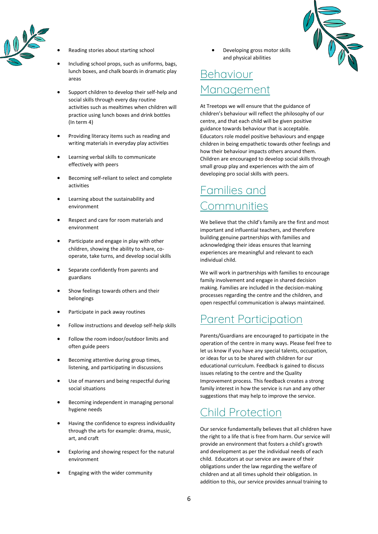

- Reading stories about starting school
- Including school props, such as uniforms, bags, lunch boxes, and chalk boards in dramatic play areas
- Support children to develop their self-help and social skills through every day routine activities such as mealtimes when children will practice using lunch boxes and drink bottles (In term 4)
- Providing literacy items such as reading and writing materials in everyday play activities
- Learning verbal skills to communicate effectively with peers
- Becoming self-reliant to select and complete activities
- Learning about the sustainability and environment
- Respect and care for room materials and environment
- Participate and engage in play with other children, showing the ability to share, cooperate, take turns, and develop social skills
- Separate confidently from parents and guardians
- Show feelings towards others and their belongings
- Participate in pack away routines
- Follow instructions and develop self-help skills
- Follow the room indoor/outdoor limits and often guide peers
- Becoming attentive during group times, listening, and participating in discussions
- Use of manners and being respectful during social situations
- Becoming independent in managing personal hygiene needs
- Having the confidence to express individuality through the arts for example: drama, music, art, and craft
- Exploring and showing respect for the natural environment
- Engaging with the wider community

Developing gross motor skills and physical abilities

### Behaviour lanagement

At Treetops we will ensure that the guidance of children's behaviour will reflect the philosophy of our centre, and that each child will be given positive guidance towards behaviour that is acceptable. Educators role model positive behaviours and engage children in being empathetic towards other feelings and how their behaviour impacts others around them. Children are encouraged to develop social skills through small group play and experiences with the aim of developing pro social skills with peers.

### Families and **Communities**

We believe that the child's family are the first and most important and influential teachers, and therefore building genuine partnerships with families and acknowledging their ideas ensures that learning experiences are meaningful and relevant to each individual child.

We will work in partnerships with families to encourage family involvement and engage in shared decision making. Families are included in the decision-making processes regarding the centre and the children, and open respectful communication is always maintained.

#### Parent Participation

Parents/Guardians are encouraged to participate in the operation of the centre in many ways. Please feel free to let us know if you have any special talents, occupation, or ideas for us to be shared with children for our educational curriculum. Feedback is gained to discuss issues relating to the centre and the Quality Improvement process. This feedback creates a strong family interest in how the service is run and any other suggestions that may help to improve the service.

#### Child Protection

Our service fundamentally believes that all children have the right to a life that is free from harm. Our service will provide an environment that fosters a child's growth and development as per the individual needs of each child. Educators at our service are aware of their obligations under the law regarding the welfare of children and at all times uphold their obligation. In addition to this, our service provides annual training to

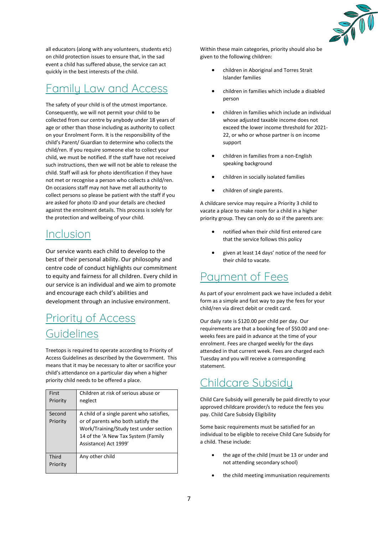

all educators (along with any volunteers, students etc) on child protection issues to ensure that, in the sad event a child has suffered abuse, the service can act quickly in the best interests of the child.

#### Family Law and Access

The safety of your child is of the utmost importance. Consequently, we will not permit your child to be collected from our centre by anybody under 18 years of age or other than those including as authority to collect on your Enrolment Form. It is the responsibility of the child's Parent/ Guardian to determine who collects the child/ren. If you require someone else to collect your child, we must be notified. If the staff have not received such instructions, then we will not be able to release the child. Staff will ask for photo identification if they have not met or recognise a person who collects a child/ren. On occasions staff may not have met all authority to collect persons so please be patient with the staff if you are asked for photo ID and your details are checked against the enrolment details. This process is solely for the protection and wellbeing of your child.

#### Inclusion

Our service wants each child to develop to the best of their personal ability. Our philosophy and centre code of conduct highlights our commitment to equity and fairness for all children. Every child in our service is an individual and we aim to promote and encourage each child's abilities and development through an inclusive environment.

### Priority of Access Guidelines

Treetops is required to operate according to Priority of Access Guidelines as described by the Government. This means that it may be necessary to alter or sacrifice your child's attendance on a particular day when a higher priority child needs to be offered a place.

| First<br>Priority  | Children at risk of serious abuse or<br>neglect                                                                                                                                           |
|--------------------|-------------------------------------------------------------------------------------------------------------------------------------------------------------------------------------------|
| Second<br>Priority | A child of a single parent who satisfies,<br>or of parents who both satisfy the<br>Work/Training/Study test under section<br>14 of the 'A New Tax System (Family<br>Assistance) Act 1999' |
| Third<br>Priority  | Any other child                                                                                                                                                                           |

Within these main categories, priority should also be given to the following children:

- children in Aboriginal and Torres Strait Islander families
- children in families which include a disabled person
- children in families which include an individual whose adjusted taxable income does not exceed the lower income threshold for 2021- 22, or who or whose partner is on income support
- children in families from a non-English speaking background
- children in socially isolated families
- children of single parents.

A childcare service may require a Priority 3 child to vacate a place to make room for a child in a higher priority group. They can only do so if the parents are:

- notified when their child first entered care that the service follows this policy
- given at least 14 days' notice of the need for their child to vacate.

#### Paument of Fees

As part of your enrolment pack we have included a debit form as a simple and fast way to pay the fees for your child/ren via direct debit or credit card.

Our daily rate is \$120.00 per child per day. Our requirements are that a booking fee of \$50.00 and oneweeks fees are paid in advance at the time of your enrolment. Fees are charged weekly for the days attended in that current week. Fees are charged each Tuesday and you will receive a corresponding statement.

#### Childcare Subsidy

Child Care Subsidy will generally be paid directly to your approved childcare provider/s to reduce the fees you pay. Child Care Subsidy Eligibility

Some basic requirements must be satisfied for an individual to be eligible to receive Child Care Subsidy for a child. These include:

- the age of the child (must be 13 or under and not attending secondary school)
- the child meeting immunisation requirements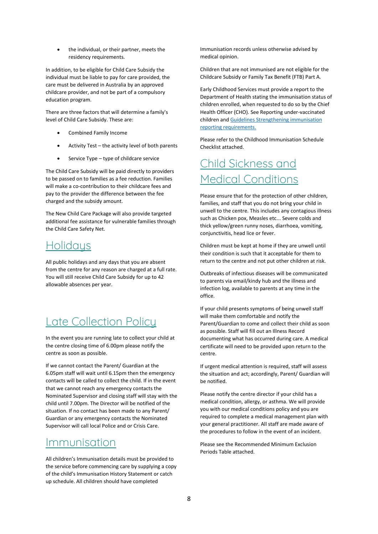the individual, or their partner, meets the residency requirements.

In addition, to be eligible for Child Care Subsidy the individual must be liable to pay for care provided, the care must be delivered in Australia by an approved childcare provider, and not be part of a compulsory education program.

There are three factors that will determine a family's level of Child Care Subsidy. These are:

- Combined Family Income
- Activity Test the activity level of both parents
- Service Type type of childcare service

The Child Care Subsidy will be paid directly to providers to be passed on to families as a fee reduction. Families will make a co-contribution to their childcare fees and pay to the provider the difference between the fee charged and the subsidy amount.

The New Child Care Package will also provide targeted additional fee assistance for vulnerable families through the Child Care Safety Net.

#### **Holidaus**

All public holidays and any days that you are absent from the centre for any reason are charged at a full rate. You will still receive Child Care Subsidy for up to 42 allowable absences per year.

#### Late Collection Policy

In the event you are running late to collect your child at the centre closing time of 6.00pm please notify the centre as soon as possible.

If we cannot contact the Parent/ Guardian at the 6.05pm staff will wait until 6.15pm then the emergency contacts will be called to collect the child. If in the event that we cannot reach any emergency contacts the Nominated Supervisor and closing staff will stay with the child until 7.00pm. The Director will be notified of the situation. If no contact has been made to any Parent/ Guardian or any emergency contacts the Nominated Supervisor will call local Police and or Crisis Care.

#### Immunisation

All children's Immunisation details must be provided to the service before commencing care by supplying a copy of the child's Immunisation History Statement or catch up schedule. All children should have completed

Immunisation records unless otherwise advised by medical opinion.

Children that are not immunised are not eligible for the Childcare Subsidy or Family Tax Benefit (FTB) Part A.

Early Childhood Services must provide a report to the Department of Health stating the immunisation status of children enrolled, when requested to do so by the Chief Health Officer (CHO). See Reporting under-vaccinated children and [Guidelines Strengthening immunisation](https://ww2.health.wa.gov.au/~/media/Files/Corporate/general%20documents/Immunisation/PDF/Guidelines%20for%20Strengthening%20Immunisation%20Reporting%20Requirements.pdf)  [reporting requirements.](https://ww2.health.wa.gov.au/~/media/Files/Corporate/general%20documents/Immunisation/PDF/Guidelines%20for%20Strengthening%20Immunisation%20Reporting%20Requirements.pdf)

Please refer to the Childhood Immunisation Schedule Checklist attached.

### Child Sickness and Medical Conditions

Please ensure that for the protection of other children, families, and staff that you do not bring your child in unwell to the centre. This includes any contagious illness such as Chicken pox, Measles etc... Severe colds and thick yellow/green runny noses, diarrhoea, vomiting, conjunctivitis, head lice or fever.

Children must be kept at home if they are unwell until their condition is such that it acceptable for them to return to the centre and not put other children at risk.

Outbreaks of infectious diseases will be communicated to parents via email/kindy hub and the illness and infection log, available to parents at any time in the office.

If your child presents symptoms of being unwell staff will make them comfortable and notify the Parent/Guardian to come and collect their child as soon as possible. Staff will fill out an Illness Record documenting what has occurred during care. A medical certificate will need to be provided upon return to the centre.

If urgent medical attention is required, staff will assess the situation and act; accordingly, Parent/ Guardian will be notified.

Please notify the centre director if your child has a medical condition, allergy, or asthma. We will provide you with our medical conditions policy and you are required to complete a medical management plan with your general practitioner. All staff are made aware of the procedures to follow in the event of an incident.

Please see the Recommended Minimum Exclusion Periods Table attached.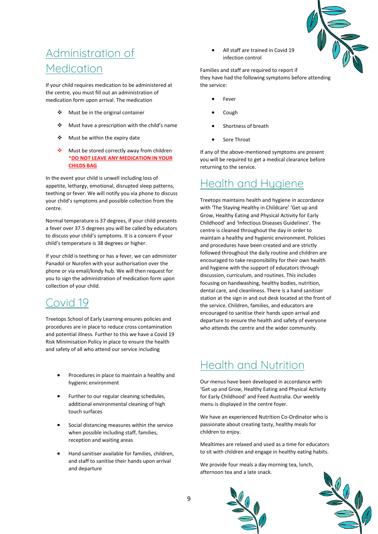

### Administration of Medication

If your child requires medication to be administered at the centre, you must fill out an administration of medication form upon arrival. The medication

- ❖ Must be in the original container
- ❖ Must have a prescription with the child's name
- ❖ Must be within the expiry date
- ❖ Must be stored correctly away from children \***DO NOT LEAVE ANY MEDICATION IN YOUR CHILDS BAG**

In the event your child is unwell including loss of appetite, lethargy, emotional, disrupted sleep patterns, teething or fever. We will notify you via phone to discuss your child's symptoms and possible collection from the centre.

Normal temperature is 37 degrees, if your child presents a fever over 37.5 degrees you will be called by educators to discuss your child's symptoms. It is a concern if your child's temperature is 38 degrees or higher.

If your child is teething or has a fever, we can administer Panadol or Nurofen with your authorisation over the phone or via email/kindy hub. We will then request for you to sign the administration of medication form upon collection of your child.

#### Covid 19

Treetops School of Early Learning ensures policies and procedures are in place to reduce cross contamination and potential illness. Further to this we have a Covid 19 Risk Minimisation Policy in place to ensure the health and safety of all who attend our service including

- Procedures in place to maintain a healthy and hygienic environment
- Further to our regular cleaning schedules, additional environmental cleaning of high touch surfaces
- Social distancing measures within the service when possible including staff, families, reception and waiting areas
- Hand sanitiser available for families, children, and staff to sanitise their hands upon arrival and departure

• All staff are trained in Covid 19 infection control

Families and staff are required to report if they have had the following symptoms before attending the service:

- **Fever**
- Cough
- Shortness of breath
- Sore Throat

If any of the above-mentioned symptoms are present you will be required to get a medical clearance before returning to the service.

#### Health and Hygiene

Treetops maintains health and hygiene in accordance with 'The Staying Healthy in Childcare' 'Get up and Grow, Healthy Eating and Physical Activity for Early Childhood' and 'Infectious Diseases Guidelines'. The centre is cleaned throughout the day in order to maintain a healthy and hygienic environment. Policies and procedures have been created and are strictly followed throughout the daily routine and children are encouraged to take responsibility for their own health and hygiene with the support of educators through discussion, curriculum, and routines. This includes focusing on handwashing, healthy bodies, nutrition, dental care, and cleanliness. There is a hand sanitiser station at the sign in and out desk located at the front of the service. Children, families, and educators are encouraged to sanitise their hands upon arrival and departure to ensure the health and safety of everyone who attends the centre and the wider community.

#### Health and Nutrition

Our menus have been developed in accordance with 'Get up and Grow, Healthy Eating and Physical Activity for Early Childhood' and Feed Australia. Our weekly menu is displayed in the centre foyer.

We have an experienced Nutrition Co-Ordinator who is passionate about creating tasty, healthy meals for children to enjoy.

Mealtimes are relaxed and used as a time for educators to sit with children and engage in healthy eating habits.

We provide four meals a day morning tea, lunch, afternoon tea and a late snack.



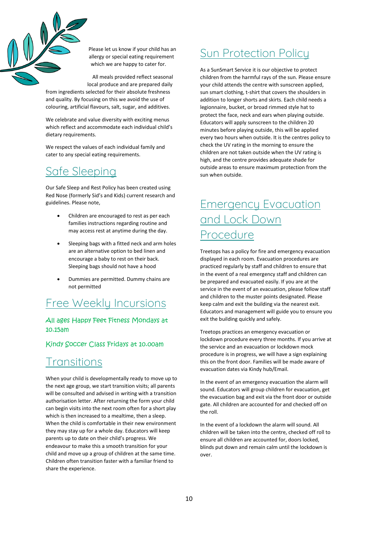

Please let us know if your child has an allergy or special eating requirement which we are happy to cater for.

All meals provided reflect seasonal

local produce and are prepared daily from ingredients selected for their absolute freshness and quality. By focusing on this we avoid the use of colouring, artificial flavours, salt, sugar, and additives.

We celebrate and value diversity with exciting menus which reflect and accommodate each individual child's dietary requirements.

We respect the values of each individual family and cater to any special eating requirements.

#### Safe Sleeping

Our Safe Sleep and Rest Policy has been created using Red Nose (formerly Sid's and Kids) current research and guidelines. Please note,

- Children are encouraged to rest as per each families instructions regarding routine and may access rest at anytime during the day.
- Sleeping bags with a fitted neck and arm holes are an alternative option to bed linen and encourage a baby to rest on their back. Sleeping bags should not have a hood
- Dummies are permitted. Dummy chains are not permitted

#### Free Weekly Incursions

#### All ages Happy Feet Fitness Mondays at 10.15am

#### Kindy Soccer Class Fridays at 10.00am

#### **Transitions**

When your child is developmentally ready to move up to the next age group, we start transition visits; all parents will be consulted and advised in writing with a transition authorisation letter. After returning the form your child can begin visits into the next room often for a short play which is then increased to a mealtime, then a sleep. When the child is comfortable in their new environment they may stay up for a whole day. Educators will keep parents up to date on their child's progress. We endeavour to make this a smooth transition for your child and move up a group of children at the same time. Children often transition faster with a familiar friend to share the experience.

### Sun Protection Policy

As a SunSmart Service it is our objective to protect children from the harmful rays of the sun. Please ensure your child attends the centre with sunscreen applied, sun smart clothing, t-shirt that covers the shoulders in addition to longer shorts and skirts. Each child needs a legionnaire, bucket, or broad rimmed style hat to protect the face, neck and ears when playing outside. Educators will apply sunscreen to the children 20 minutes before playing outside, this will be applied every two hours when outside. It is the centres policy to check the UV rating in the morning to ensure the children are not taken outside when the UV rating is high, and the centre provides adequate shade for outside areas to ensure maximum protection from the sun when outside.

### Emergency Evacuation and Lock Down Procedure

Treetops has a policy for fire and emergency evacuation displayed in each room. Evacuation procedures are practiced regularly by staff and children to ensure that in the event of a real emergency staff and children can be prepared and evacuated easily. If you are at the service in the event of an evacuation, please follow staff and children to the muster points designated. Please keep calm and exit the building via the nearest exit. Educators and management will guide you to ensure you exit the building quickly and safely.

Treetops practices an emergency evacuation or lockdown procedure every three months. If you arrive at the service and an evacuation or lockdown mock procedure is in progress, we will have a sign explaining this on the front door. Families will be made aware of evacuation dates via Kindy hub/Email.

In the event of an emergency evacuation the alarm will sound. Educators will group children for evacuation, get the evacuation bag and exit via the front door or outside gate. All children are accounted for and checked off on the roll.

In the event of a lockdown the alarm will sound. All children will be taken into the centre, checked off roll to ensure all children are accounted for, doors locked, blinds put down and remain calm until the lockdown is over.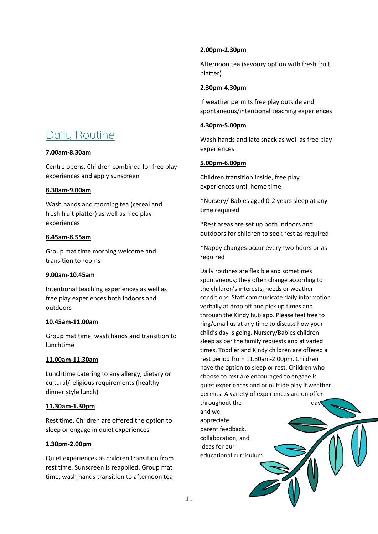### Daily Routine

#### **7.00am-8.30am**

Centre opens. Children combined for free play experiences and apply sunscreen

#### **8.30am-9.00am**

Wash hands and morning tea (cereal and fresh fruit platter) as well as free play experiences

#### **8.45am-8.55am**

Group mat time morning welcome and transition to rooms

#### **9.00am-10.45am**

Intentional teaching experiences as well as free play experiences both indoors and outdoors

#### **10.45am-11.00am**

Group mat time, wash hands and transition to lunchtime

#### **11.00am-11.30am**

Lunchtime catering to any allergy, dietary or cultural/religious requirements (healthy dinner style lunch)

#### **11.30am-1.30pm**

Rest time. Children are offered the option to sleep or engage in quiet experiences

#### **1.30pm-2.00pm**

Quiet experiences as children transition from rest time. Sunscreen is reapplied. Group mat time, wash hands transition to afternoon tea

#### **2.00pm-2.30pm**

Afternoon tea (savoury option with fresh fruit platter)

#### **2.30pm-4.30pm**

If weather permits free play outside and spontaneous/intentional teaching experiences

#### **4.30pm-5.00pm**

Wash hands and late snack as well as free play experiences

#### **5.00pm-6.00pm**

Children transition inside, free play experiences until home time

\*Nursery/ Babies aged 0-2 years sleep at any time required

\*Rest areas are set up both indoors and outdoors for children to seek rest as required

\*Nappy changes occur every two hours or as required

Daily routines are flexible and sometimes spontaneous; they often change according to the children's interests, needs or weather conditions. Staff communicate daily information verbally at drop off and pick up times and through the Kindy hub app. Please feel free to ring/email us at any time to discuss how your child's day is going. Nursery/Babies children sleep as per the family requests and at varied times. Toddler and Kindy children are offered a rest period from 11.30am-2.00pm. Children have the option to sleep or rest. Children who choose to rest are encouraged to engage is quiet experiences and or outside play if weather permits. A variety of experiences are on offer

throughout the day and we appreciate parent feedback, collaboration, and ideas for our educational curriculum.